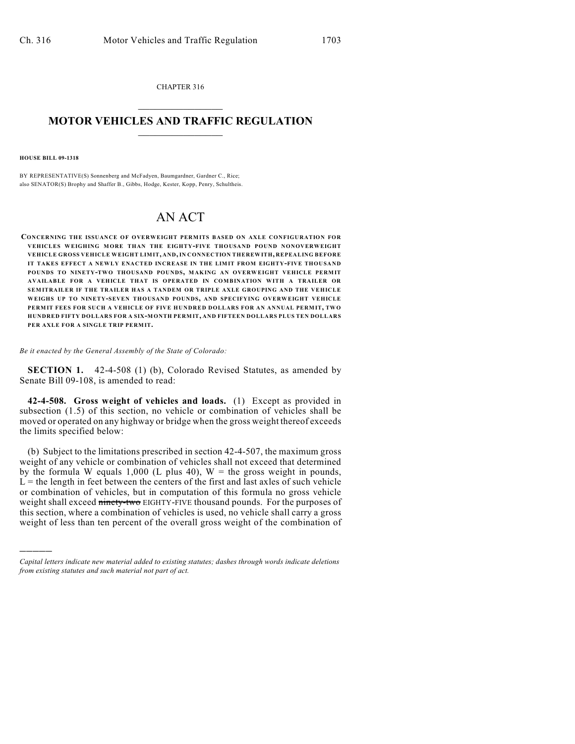CHAPTER 316  $\overline{\phantom{a}}$  . The set of the set of the set of the set of the set of the set of the set of the set of the set of the set of the set of the set of the set of the set of the set of the set of the set of the set of the set o

## **MOTOR VEHICLES AND TRAFFIC REGULATION**  $\frac{1}{2}$  ,  $\frac{1}{2}$  ,  $\frac{1}{2}$  ,  $\frac{1}{2}$  ,  $\frac{1}{2}$  ,  $\frac{1}{2}$  ,  $\frac{1}{2}$  ,  $\frac{1}{2}$

**HOUSE BILL 09-1318**

)))))

BY REPRESENTATIVE(S) Sonnenberg and McFadyen, Baumgardner, Gardner C., Rice; also SENATOR(S) Brophy and Shaffer B., Gibbs, Hodge, Kester, Kopp, Penry, Schultheis.

## AN ACT

**CONCERNING THE ISSUANCE OF OVERWEIGHT PERMITS BASED ON AXLE CONFIGURATION FOR VEHICLES WEIGHING MORE THAN THE EIGHTY-FIVE THOUSAND POUND NONOVERWEIGHT VEHICLE GROSS VEHICLE WEIGHT LIMIT, AND, IN CONNECTION THEREWITH, REPEALING BEFORE IT TAKES EFFECT A NEWLY ENACTED INCREASE IN THE LIMIT FROM EIGHTY-FIVE THOUSAND POUNDS TO NINETY-TWO THOUSAND POUNDS, MAKING AN OVERWEIGHT VEHICLE PERMIT AVAILABLE FOR A VEHICLE THAT IS OPERATED IN COMBINATION WITH A TRAILER OR SEM ITRAILER IF THE TRAILER HAS A TANDEM OR TRIPLE AXLE GROUPING AND THE VEHICLE WEIGHS UP TO NINETY-SEVEN THOUSAND POUNDS, AND SPECIFYING OVERWEIGHT VEHICLE PERMIT FEES FOR SUCH A VEHICLE OF FIVE HUNDRED DOLLARS FOR AN ANNUAL PERMIT, TW O HUNDRED FIFTY DOLLARS FOR A SIX-MONTH PERMIT, AND FIFTEEN DOLLARS PLUS TEN DOLLARS PER AXLE FOR A SINGLE TRIP PERMIT.**

*Be it enacted by the General Assembly of the State of Colorado:*

**SECTION 1.** 42-4-508 (1) (b), Colorado Revised Statutes, as amended by Senate Bill 09-108, is amended to read:

**42-4-508. Gross weight of vehicles and loads.** (1) Except as provided in subsection (1.5) of this section, no vehicle or combination of vehicles shall be moved or operated on any highway or bridge when the gross weight thereof exceeds the limits specified below:

(b) Subject to the limitations prescribed in section 42-4-507, the maximum gross weight of any vehicle or combination of vehicles shall not exceed that determined by the formula W equals 1,000 (L plus 40),  $W =$  the gross weight in pounds,  $L =$  the length in feet between the centers of the first and last axles of such vehicle or combination of vehicles, but in computation of this formula no gross vehicle weight shall exceed ninety-two EIGHTY-FIVE thousand pounds. For the purposes of this section, where a combination of vehicles is used, no vehicle shall carry a gross weight of less than ten percent of the overall gross weight of the combination of

*Capital letters indicate new material added to existing statutes; dashes through words indicate deletions from existing statutes and such material not part of act.*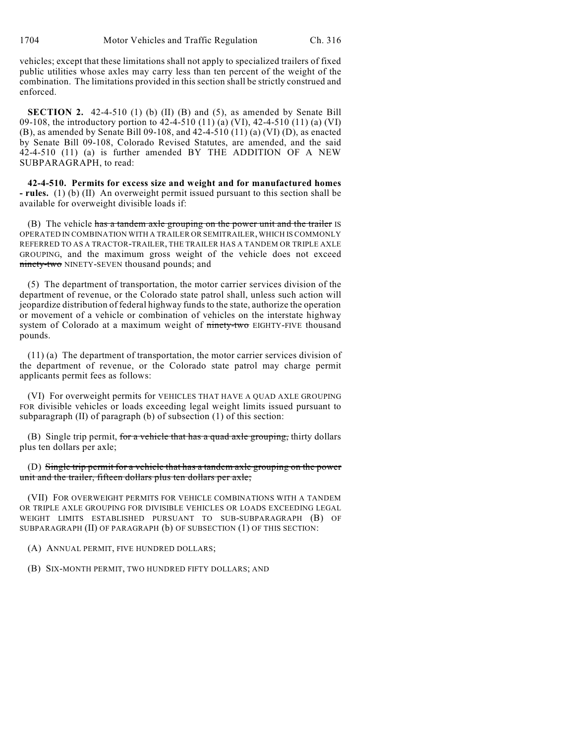vehicles; except that these limitations shall not apply to specialized trailers of fixed public utilities whose axles may carry less than ten percent of the weight of the combination. The limitations provided in this section shall be strictly construed and enforced.

**SECTION 2.** 42-4-510 (1) (b) (II) (B) and (5), as amended by Senate Bill 09-108, the introductory portion to 42-4-510 (11) (a) (VI), 42-4-510 (11) (a) (VI) (B), as amended by Senate Bill 09-108, and 42-4-510 (11) (a) (VI) (D), as enacted by Senate Bill 09-108, Colorado Revised Statutes, are amended, and the said 42-4-510 (11) (a) is further amended BY THE ADDITION OF A NEW SUBPARAGRAPH, to read:

**42-4-510. Permits for excess size and weight and for manufactured homes - rules.** (1) (b) (II) An overweight permit issued pursuant to this section shall be available for overweight divisible loads if:

(B) The vehicle has a tandem axle grouping on the power unit and the trailer IS OPERATED IN COMBINATION WITH A TRAILER OR SEMITRAILER, WHICH IS COMMONLY REFERRED TO AS A TRACTOR-TRAILER, THE TRAILER HAS A TANDEM OR TRIPLE AXLE GROUPING, and the maximum gross weight of the vehicle does not exceed ninety-two NINETY-SEVEN thousand pounds; and

(5) The department of transportation, the motor carrier services division of the department of revenue, or the Colorado state patrol shall, unless such action will jeopardize distribution of federal highway funds to the state, authorize the operation or movement of a vehicle or combination of vehicles on the interstate highway system of Colorado at a maximum weight of ninety-two EIGHTY-FIVE thousand pounds.

(11) (a) The department of transportation, the motor carrier services division of the department of revenue, or the Colorado state patrol may charge permit applicants permit fees as follows:

(VI) For overweight permits for VEHICLES THAT HAVE A QUAD AXLE GROUPING FOR divisible vehicles or loads exceeding legal weight limits issued pursuant to subparagraph (II) of paragraph (b) of subsection (1) of this section:

(B) Single trip permit, for a vehicle that has a quad axle grouping, thirty dollars plus ten dollars per axle;

(D) Single trip permit for a vehicle that has a tandem axle grouping on the power unit and the trailer, fifteen dollars plus ten dollars per axle;

(VII) FOR OVERWEIGHT PERMITS FOR VEHICLE COMBINATIONS WITH A TANDEM OR TRIPLE AXLE GROUPING FOR DIVISIBLE VEHICLES OR LOADS EXCEEDING LEGAL WEIGHT LIMITS ESTABLISHED PURSUANT TO SUB-SUBPARAGRAPH (B) OF SUBPARAGRAPH (II) OF PARAGRAPH (b) OF SUBSECTION (1) OF THIS SECTION:

(A) ANNUAL PERMIT, FIVE HUNDRED DOLLARS;

(B) SIX-MONTH PERMIT, TWO HUNDRED FIFTY DOLLARS; AND